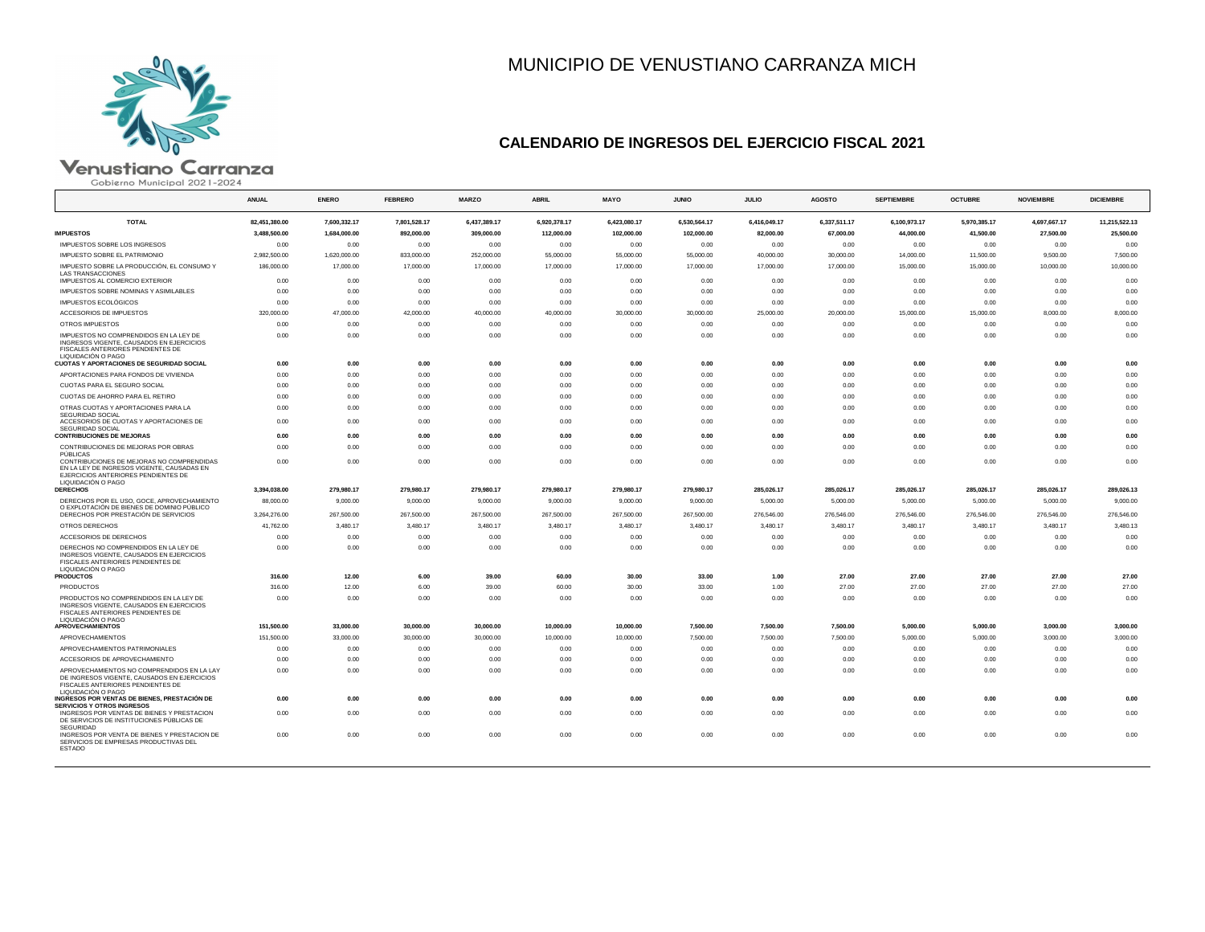

# MUNICIPIO DE VENUSTIANO CARRANZA MICH

## **CALENDARIO DE INGRESOS DEL EJERCICIO FISCAL 2021**

# $\blacksquare$

|                                                                                                                                                                  | <b>ANUAL</b>              | <b>ENERO</b>           | <b>FEBRERO</b>         | <b>MARZO</b>           | <b>ABRIL</b>           | <b>MAYO</b>            | <b>JUNIO</b>           | <b>JULIO</b>           | <b>AGOSTO</b>          | <b>SEPTIEMBRE</b>      | <b>OCTUBRE</b>         | <b>NOVIEMBRE</b>       | <b>DICIEMBRE</b>       |
|------------------------------------------------------------------------------------------------------------------------------------------------------------------|---------------------------|------------------------|------------------------|------------------------|------------------------|------------------------|------------------------|------------------------|------------------------|------------------------|------------------------|------------------------|------------------------|
| <b>TOTAL</b>                                                                                                                                                     | 82,451,380.00             | 7,600,332.17           | 7,801,528.17           | 6,437,389.17           | 6,920,378.17           | 6,423,080.17           | 6,530,564.17           | 6,416,049.17           | 6,337,511.17           | 6,100,973.17           | 5,970,385.17           | 4,697,667.17           | 11,215,522.13          |
| <b>IMPUESTOS</b>                                                                                                                                                 | 3,488,500.00              | 1,684,000.00           | 892,000.00             | 309,000.00             | 112,000.00             | 102,000.00             | 102,000.00             | 82,000.00              | 67,000.00              | 44,000.00              | 41,500.00              | 27,500.00              | 25,500.00              |
| IMPUESTOS SOBRE LOS INGRESOS                                                                                                                                     | 0.00                      | 0.00                   | 0.00                   | 0.00                   | 0.00                   | 0.00                   | 0.00                   | 0.00                   | 0.00                   | 0.00                   | 0.00                   | 0.00                   | 0.00                   |
| IMPUESTO SOBRE EL PATRIMONIO                                                                                                                                     | 2.982.500.00              | 1,620,000.00           | 833,000.00             | 252,000.00             | 55,000.00              | 55,000.00              | 55,000.00              | 40,000.00              | 30,000.00              | 14.000.00              | 11,500.00              | 9,500.00               | 7,500.00               |
| IMPUESTO SOBRE LA PRODUCCIÓN, EL CONSUMO Y<br><b>LAS TRANSACCIONES</b>                                                                                           | 186,000.00                | 17,000.00              | 17,000.00              | 17,000.00              | 17,000.00              | 17,000.00              | 17,000.00              | 17,000.00              | 17,000.00              | 15,000.00              | 15,000.00              | 10,000.00              | 10,000.00              |
| IMPUESTOS AL COMERCIO EXTERIOR                                                                                                                                   | 0.00                      | 0.00                   | 0.00                   | 0.00                   | 0.00                   | 0.00                   | 0.00                   | 0.00                   | 0.00                   | 0.00                   | 0.00                   | 0.00                   | 0.00                   |
| IMPUESTOS SOBRE NOMINAS Y ASIMILABLES                                                                                                                            | 0.00                      | 0.00                   | 0.00                   | 0.00                   | 0.00                   | 0.00                   | 0.00                   | 0.00                   | 0.00                   | 0.00                   | 0.00                   | 0.00                   | 0.00                   |
| IMPUESTOS ECOLÓGICOS                                                                                                                                             | 0.00                      | 0.00                   | 0.00                   | 0.00                   | 0.00                   | 0.00                   | 0.00                   | 0.00                   | 0.00                   | 0.00                   | 0.00                   | 0.00                   | 0.00                   |
| ACCESORIOS DE IMPUESTOS                                                                                                                                          | 320,000.00                | 47,000.00              | 42,000.00              | 40,000.00              | 40,000.00              | 30,000.00              | 30,000.00              | 25,000.00              | 20,000.00              | 15,000.00              | 15,000.00              | 8,000.00               | 8,000.00               |
| OTROS IMPUESTOS                                                                                                                                                  | 0.00                      | 0.00                   | 0.00                   | 0.00                   | 0.00                   | 0.00                   | 0.00                   | 0.00                   | 0.00                   | 0.00                   | 0.00                   | 0.00                   | 0.00                   |
| IMPUESTOS NO COMPRENDIDOS EN LA LEY DE<br>INGRESOS VIGENTE, CAUSADOS EN EJERCICIOS<br>FISCALES ANTERIORES PENDIENTES DE<br>LIQUIDACIÓN O PAGO                    | 0.00                      | 0.00                   | 0.00                   | 0.00                   | 0.00                   | 0.00                   | 0.00                   | 0.00                   | 0.00                   | 0.00                   | 0.00                   | 0.00                   | 0.00                   |
| <b>CUOTAS Y APORTACIONES DE SEGURIDAD SOCIAL</b>                                                                                                                 | 0.00                      | 0.00                   | 0.00                   | 0.00                   | 0.00                   | 0.00                   | 0.00                   | 0.00                   | 0.00                   | 0.00                   | 0.00                   | 0.00                   | 0.00                   |
| APORTACIONES PARA FONDOS DE VIVIENDA                                                                                                                             | 0.00                      | 0.00                   | 0.00                   | 0.00                   | 0.00                   | 0.00                   | 0.00                   | 0.00                   | 0.00                   | 0.00                   | 0.00                   | 0.00                   | 0.00                   |
| CUOTAS PARA EL SEGURO SOCIAL                                                                                                                                     | 0.00                      | 0.00                   | 0.00                   | 0.00                   | 0.00                   | 0.00                   | 0.00                   | 0.00                   | 0.00                   | 0.00                   | 0.00                   | 0.00                   | 0.00                   |
| CUOTAS DE AHORRO PARA EL RETIRO                                                                                                                                  | 0.00                      | 0.00                   | 0.00                   | 0.00                   | 0.00                   | 0.00                   | 0.00                   | 0.00                   | 0.00                   | 0.00                   | 0.00                   | 0.00                   | 0.00                   |
| OTRAS CUOTAS Y APORTACIONES PARA LA<br><b>SEGURIDAD SOCIAL</b><br>ACCESORIOS DE CUOTAS Y APORTACIONES DE                                                         | 0.00<br>0.00              | 0.00<br>0.00           | 0.00<br>0.00           | 0.00<br>0.00           | 0.00<br>0.00           | 0.00<br>0.00           | 0.00<br>0.00           | 0.00<br>0.00           | 0.00<br>0.00           | 0.00<br>0.00           | 0.00<br>0.00           | 0.00<br>0.00           | 0.00<br>0.00           |
| SEGURIDAD SOCIAL<br><b>CONTRIBUCIONES DE MEJORAS</b>                                                                                                             | 0.00                      | 0.00                   | 0.00                   | 0.00                   | 0.00                   | 0.00                   | 0.00                   | 0.00                   | 0.00                   | 0.00                   | 0.00                   | 0.00                   | 0.00                   |
| CONTRIBUCIONES DE MEJORAS POR OBRAS                                                                                                                              | 0.00                      | 0.00                   | 0.00                   | 0.00                   | 0.00                   | 0.00                   | 0.00                   | 0.00                   | 0.00                   | 0.00                   | 0.00                   | 0.00                   | 0.00                   |
| PÚBLICAS<br>CONTRIBUCIONES DE MEJORAS NO COMPRENDIDAS<br>EN LA LEY DE INGRESOS VIGENTE, CAUSADAS EN<br>EJERCICIOS ANTERIORES PENDIENTES DE<br>LIQUIDACIÓN O PAGO | 0.00                      | 0.00                   | 0.00                   | 0.00                   | 0.00                   | 0.00                   | 0.00                   | 0.00                   | 0.00                   | 0.00                   | 0.00                   | 0.00                   | 0.00                   |
| <b>DERECHOS</b>                                                                                                                                                  | 3,394,038.00              | 279,980.17             | 279,980.17             | 279,980.17             | 279,980.17             | 279,980.17             | 279,980.17             | 285,026.17             | 285,026.17             | 285,026.17             | 285,026.17             | 285,026.17             | 289,026.13             |
| DERECHOS POR EL USO, GOCE, APROVECHAMIENTO<br>O EXPLOTACIÓN DE BIENES DE DOMINIO PÚBLICO<br>DERECHOS POR PRESTACIÓN DE SERVICIOS                                 | 88,000.00<br>3,264,276.00 | 9,000.00<br>267,500.00 | 9,000.00<br>267,500.00 | 9,000.00<br>267,500.00 | 9,000.00<br>267,500.00 | 9,000.00<br>267,500.00 | 9,000.00<br>267,500.00 | 5,000.00<br>276,546.00 | 5,000.00<br>276,546.00 | 5,000.00<br>276,546.00 | 5,000.00<br>276,546.00 | 5,000.00<br>276,546.00 | 9,000.00<br>276,546.00 |
| OTROS DERECHOS                                                                                                                                                   | 41,762.00                 | 3,480.17               | 3,480.17               | 3,480.17               | 3,480.17               | 3,480.17               | 3,480.17               | 3,480.17               | 3,480.17               | 3,480.17               | 3,480.17               | 3,480.17               | 3,480.13               |
| ACCESORIOS DE DERECHOS                                                                                                                                           | 0.00                      | 0.00                   | 0.00                   | 0.00                   | 0.00                   | 0.00                   | 0.00                   | 0.00                   | 0.00                   | 0.00                   | 0.00                   | 0.00                   | 0.00                   |
| DERECHOS NO COMPRENDIDOS EN LA LEY DE<br>INGRESOS VIGENTE, CAUSADOS EN EJERCICIOS<br>FISCALES ANTERIORES PENDIENTES DE<br>LIQUIDACIÓN O PAGO                     | 0.00                      | 0.00                   | 0.00                   | 0.00                   | 0.00                   | 0.00                   | 0.00                   | 0.00                   | 0.00                   | 0.00                   | 0.00                   | 0.00                   | 0.00                   |
| <b>PRODUCTOS</b>                                                                                                                                                 | 316.00                    | 12.00                  | 6.00                   | 39.00                  | 60.00                  | 30.00                  | 33.00                  | 1.00                   | 27.00                  | 27.00                  | 27.00                  | 27.00                  | 27.00                  |
| <b>PRODUCTOS</b>                                                                                                                                                 | 316.00                    | 12.00                  | 6.00                   | 39.00                  | 60.00                  | 30.00                  | 33.00                  | 1.00                   | 27.00                  | 27.00                  | 27.00                  | 27.00                  | 27.00                  |
| PRODUCTOS NO COMPRENDIDOS EN LA LEY DE<br>INGRESOS VIGENTE, CAUSADOS EN EJERCICIOS<br>FISCALES ANTERIORES PENDIENTES DE<br>LIQUIDACIÓN O PAGO                    | 0.00                      | 0.00                   | 0.00                   | 0.00                   | 0.00                   | 0.00                   | 0.00                   | 0.00                   | 0.00                   | 0.00                   | 0.00                   | 0.00                   | 0.00                   |
| <b>APROVECHAMIENTOS</b>                                                                                                                                          | 151.500.00                | 33,000,00              | 30,000,00              | 30,000,00              | 10,000,00              | 10.000.00              | 7,500.00               | 7.500.00               | 7.500.00               | 5.000.00               | 5.000.00               | 3,000,00               | 3,000,00               |
| APROVECHAMIENTOS                                                                                                                                                 | 151,500.00                | 33,000.00              | 30,000.00              | 30,000.00              | 10,000.00              | 10,000.00              | 7,500.00               | 7,500.00               | 7,500.00               | 5,000.00               | 5,000.00               | 3,000.00               | 3,000.00               |
| APROVECHAMIENTOS PATRIMONIALES                                                                                                                                   | 0.00                      | 0.00                   | 0.00                   | 0.00                   | 0.00                   | 0.00                   | 0.00                   | 0.00                   | 0.00                   | 0.00                   | 0.00                   | 0.00                   | 0.00                   |
| ACCESORIOS DE APROVECHAMIENTO                                                                                                                                    | 0.00                      | 0.00                   | 0.00                   | 0.00                   | 0.00                   | 0.00                   | 0.00                   | 0.00                   | 0.00                   | 0.00                   | 0.00                   | 0.00                   | 0.00                   |
| APROVECHAMIENTOS NO COMPRENDIDOS EN LA LAY<br>DE INGRESOS VIGENTE, CAUSADOS EN EJERCICIOS<br>FISCALES ANTERIORES PENDIENTES DE<br>LIQUIDACIÓN O PAGO             | 0.00                      | 0.00                   | 0.00                   | 0.00                   | 0.00                   | 0.00                   | 0.00                   | 0.00                   | 0.00                   | 0.00                   | 0.00                   | 0.00                   | 0.00                   |
| INGRESOS POR VENTAS DE BIENES, PRESTACIÓN DE<br><b>SERVICIOS Y OTROS INGRESOS</b>                                                                                | 0.00                      | 0.00                   | 0.00                   | 0.00                   | 0.00                   | 0.00                   | 0.00                   | 0.00                   | 0.00                   | 0.00                   | 0.00                   | 0.00                   | 0.00                   |
| INGRESOS POR VENTAS DE BIENES Y PRESTACION<br>DE SERVICIOS DE INSTITUCIONES PÚBLICAS DE<br><b>SEGURIDAD</b>                                                      | 0.00                      | 0.00                   | 0.00                   | 0.00                   | 0.00                   | 0.00                   | 0.00                   | 0.00                   | 0.00                   | 0.00                   | 0.00                   | 0.00                   | 0.00                   |
| INGRESOS POR VENTA DE BIENES Y PRESTACION DE<br>SERVICIOS DE EMPRESAS PRODUCTIVAS DEL<br><b>ESTADO</b>                                                           | 0.00                      | 0.00                   | 0.00                   | 0.00                   | 0.00                   | 0.00                   | 0.00                   | 0.00                   | 0.00                   | 0.00                   | 0.00                   | 0.00                   | 0.00                   |